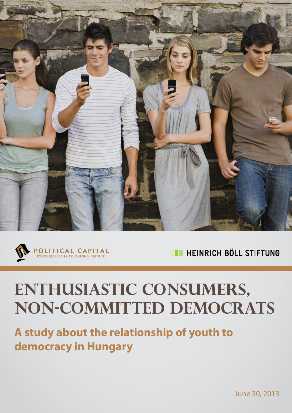



HEINRICH BÖLL STIFTUNG ПT

# **Enthusiastic consumers, non-committed democrats**

**A study about the relationship of youth to democracy in Hungary**

June 30, 2013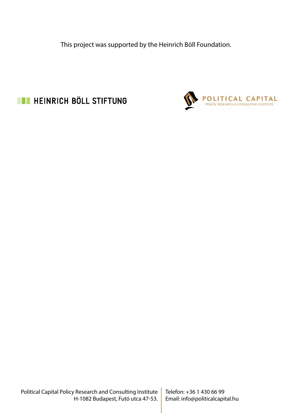This project was supported by the Heinrich Böll Foundation.



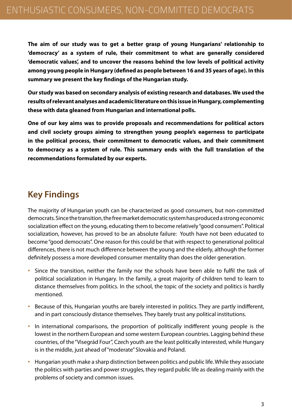**The aim of our study was to get a better grasp of young Hungarians' relationship to 'democracy' as a system of rule, their commitment to what are generally considered 'democratic values', and to uncover the reasons behind the low levels of political activity among young people in Hungary (defined as people between 16 and 35 years of age). In this summary we present the key findings of the Hungarian study.**

**Our study was based on secondary analysis of existing research and databases. We used the results of relevant analyses and academic literature on this issue in Hungary, complementing these with data gleaned from Hungarian and international polls.**

**One of our key aims was to provide proposals and recommendations for political actors and civil society groups aiming to strengthen young people's eagerness to participate in the political process, their commitment to democratic values, and their commitment to democracy as a system of rule. This summary ends with the full translation of the recommendations formulated by our experts.**

# **Key Findings**

The majority of Hungarian youth can be characterized as good consumers, but non-committed democrats. Since the transition, the free market democratic system has produced a strong economic socialization effect on the young, educating them to become relatively "good consumers". Political socialization, however, has proved to be an absolute failure: Youth have not been educated to become "good democrats". One reason for this could be that with respect to generational political differences, there is not much difference between the young and the elderly, although the former definitely possess a more developed consumer mentality than does the older generation.

- Since the transition, neither the family nor the schools have been able to fulfil the task of political socialization in Hungary. In the family, a great majority of children tend to learn to distance themselves from politics. In the school, the topic of the society and politics is hardly mentioned.
- Because of this, Hungarian youths are barely interested in politics. They are partly indifferent, and in part consciously distance themselves. They barely trust any political institutions.
- In international comparisons, the proportion of politically indifferent young people is the lowest in the northern European and some western European countries. Lagging behind these countries, of the "Visegrád Four", Czech youth are the least politically interested, while Hungary is in the middle, just ahead of "moderate" Slovakia and Poland.
- Hungarian youth make a sharp distinction between politics and public life. While they associate the politics with parties and power struggles, they regard public life as dealing mainly with the problems of society and common issues.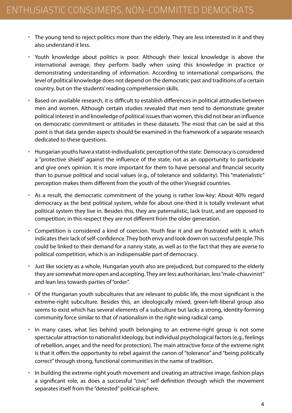- The young tend to reject politics more than the elderly. They are less interested in it and they also understand it less.
- Youth knowledge about politics is poor. Although their lexical knowledge is above the international average, they perform badly when using this knowledge in practice or demonstrating understanding of information. According to international comparisons, the level of political knowledge does not depend on the democratic past and traditions of a certain country, but on the students' reading comprehension skills.
- Based on available research, it is difficult to establish differences in political attitudes between men and women. Although certain studies revealed that men tend to demonstrate greater political interest in and knowledge of political issues than women, this did not bear an influence on democratic commitment or attitudes in these datasets. The most that can be said at this point is that data gender aspects should be examined in the framework of a separate research dedicated to these questions.
- Hungarian youths have a statist-individualistic perception of the state: Democracy is considered a "protective shield" against the influence of the state, not as an opportunity to participate and give one's opinion. It is more important for them to have personal and financial security than to pursue political and social values (e.g., of tolerance and solidarity). This "materialistic" perception makes them different from the youth of the other Visegrád countries.
- As a result, the democratic commitment of the young is rather low-key: About 40% regard democracy as the best political system, while for about one-third it is totally irrelevant what political system they live in. Besides this, they are paternalistic, lack trust, and are opposed to competition; in this respect they are not different from the older generation.
- Competition is considered a kind of coercion. Youth fear it and are frustrated with it, which indicates their lack of self-confidence. They both envy and look down on successful people. This could be linked to their demand for a nanny state, as well as to the fact that they are averse to political competition, which is an indispensable part of democracy.
- Just like society as a whole, Hungarian youth also are prejudiced, but compared to the elderly they are somewhat more open and accepting. They are less authoritarian, less "male-chauvinist" and lean less towards parties of "order".
- Of the Hungarian youth subcultures that are relevant to public life, the most significant is the extreme-right subculture. Besides this, an ideologically mixed, green-left-liberal group also seems to exist which has several elements of a subculture but lacks a strong, identity-forming community force similar to that of nationalism in the right-wing radical camp.
- In many cases, what lies behind youth belonging to an extreme-right group is not some spectacular attraction to nationalist ideology, but individual psychological factors (e.g., feelings of rebellion, anger, and the need for protection). The main attractive force of the extreme right is that it offers the opportunity to rebel against the canon of "tolerance" and "being politically correct" through strong, functional communities in the name of tradition.
- In building the extreme-right youth movement and creating an attractive image, fashion plays a significant role, as does a successful "civic" self-definition through which the movement separates itself from the "detested" political sphere.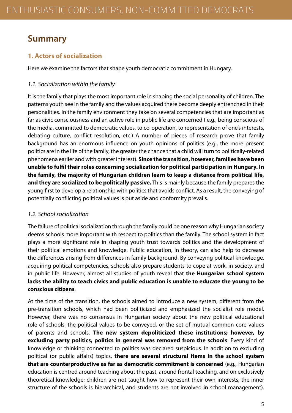# **Summary**

# **1. Actors of socialization**

Here we examine the factors that shape youth democratic commitment in Hungary.

# *1.1. Socialization within the family*

It is the family that plays the most important role in shaping the social personality of children. The patterns youth see in the family and the values acquired there become deeply entrenched in their personalities. In the family environment they take on several competencies that are important as far as civic consciousness and an active role in public life are concerned ( e.g., being conscious of the media, committed to democratic values, to co-operation, to representation of one's interests, debating culture, conflict resolution, etc.) A number of pieces of research prove that family background has an enormous influence on youth opinions of politics (e.g., the more present politics are in the life of the family, the greater the chance that a child will turn to politically-related phenomena earlier and with greater interest). **Since the transition, however, families have been unable to fulfil their roles concerning socialization for political participation in Hungary. In the family, the majority of Hungarian children learn to keep a distance from political life, and they are socialized to be politically passive.** This is mainly because the family prepares the young first to develop a relationship with politics that avoids conflict. As a result, the conveying of potentially conflicting political values is put aside and conformity prevails.

# *1.2. School socialization*

The failure of political socialization through the family could be one reason why Hungarian society deems schools more important with respect to politics than the family. The school system in fact plays a more significant role in shaping youth trust towards politics and the development of their political emotions and knowledge. Public education, in theory, can also help to decrease the differences arising from differences in family background. By conveying political knowledge, acquiring political competencies, schools also prepare students to cope at work, in society, and in public life. However, almost all studies of youth reveal that **the Hungarian school system lacks the ability to teach civics and public education is unable to educate the young to be conscious citizens**.

At the time of the transition, the schools aimed to introduce a new system, different from the pre-transition schools, which had been politicized and emphasized the socialist role model. However, there was no consensus in Hungarian society about the new political educational role of schools, the political values to be conveyed, or the set of mutual common core values of parents and schools. **The new system depoliticized these institutions; however, by excluding party politics, politics in general was removed from the schools**. Every kind of knowledge or thinking connected to politics was declared suspicious. In addition to excluding political (or public affairs) topics, **there are several structural items in the school system that are counterproductive as far as democratic commitment is concerned** (e.g., Hungarian education is centred around teaching about the past, around frontal teaching, and on exclusively theoretical knowledge; children are not taught how to represent their own interests, the inner structure of the schools is hierarchical, and students are not involved in school management).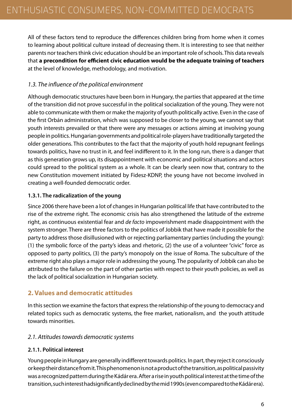All of these factors tend to reproduce the differences children bring from home when it comes to learning about political culture instead of decreasing them. It is interesting to see that neither parents nor teachers think civic education should be an important role of schools. This data reveals that **a precondition for efficient civic education would be the adequate training of teachers** at the level of knowledge, methodology, and motivation.

# *1.3. The influence of the political environment*

Although democratic structures have been born in Hungary, the parties that appeared at the time of the transition did not prove successful in the political socialization of the young. They were not able to communicate with them or make the majority of youth politically active. Even in the case of the first Orbán administration, which was supposed to be closer to the young, we cannot say that youth interests prevailed or that there were any messages or actions aiming at involving young people in politics. Hungarian governments and political role-players have traditionally targeted the older generations. This contributes to the fact that the majority of youth hold repugnant feelings towards politics, have no trust in it, and feel indifferent to it. In the long run, there is a danger that as this generation grows up, its disappointment with economic and political situations and actors could spread to the political system as a whole. It can be clearly seen now that, contrary to the new Constitution movement initiated by Fidesz-KDNP, the young have not become involved in creating a well-founded democratic order.

#### **1.3.1. The radicalization of the young**

Since 2006 there have been a lot of changes in Hungarian political life that have contributed to the rise of the extreme right. The economic crisis has also strengthened the latitude of the extreme right, as continuous existential fear and *de facto* impoverishment made disappointment with the system stronger. There are three factors to the politics of Jobbik that have made it possible for the party to address those disillusioned with or rejecting parliamentary parties (including the young): (1) the symbolic force of the party's ideas and rhetoric, (2) the use of a volunteer "civic" force as opposed to party politics, (3) the party's monopoly on the issue of Roma. The subculture of the extreme right also plays a major role in addressing the young. The popularity of Jobbik can also be attributed to the failure on the part of other parties with respect to their youth policies, as well as the lack of political socialization in Hungarian society.

# **2. Values and democratic attitudes**

In this section we examine the factors that express the relationship of the young to democracy and related topics such as democratic systems, the free market, nationalism, and the youth attitude towards minorities.

## *2.1. Attitudes towards democratic systems*

## **2.1.1. Political interest**

Young people in Hungary are generally indifferent towards politics. In part, they reject it consciously or keep their distance from it. This phenomenon is not a product of the transition, as political passivity was a recognized pattern during the Kádár era. After a rise in youth political interest at the time of the transition, such interest hadsignificantly declined by the mid 1990s (even compared to the Kádár era).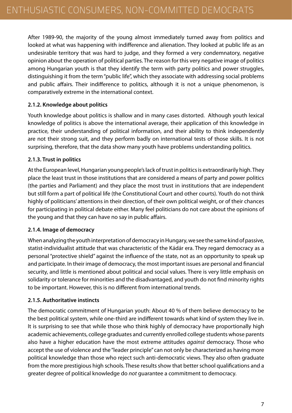After 1989-90, the majority of the young almost immediately turned away from politics and looked at what was happening with indifference and alienation. They looked at public life as an undesirable territory that was hard to judge, and they formed a very condemnatory, negative opinion about the operation of political parties. The reason for this very negative image of politics among Hungarian youth is that they identify the term with party politics and power struggles, distinguishing it from the term "public life", which they associate with addressing social problems and public affairs. Their indifference to politics, although it is not a unique phenomenon, is comparatively extreme in the international context.

## **2.1.2. Knowledge about politics**

Youth knowledge about politics is shallow and in many cases distorted. Although youth lexical knowledge of politics is above the international average, their application of this knowledge in practice, their understanding of political information, and their ability to think independently are not their strong suit, and they perform badly on international tests of those skills. It is not surprising, therefore, that the data show many youth have problems understanding politics.

# **2.1.3. Trust in politics**

At the European level, Hungarian young people's lack of trust in politics is extraordinarily high. They place the least trust in those institutions that are considered a means of party and power politics (the parties and Parliament) and they place the most trust in institutions that are independent but still form a part of political life (the Constitutional Court and other courts). Youth do not think highly of politicians' attentions in their direction, of their own political weight, or of their chances for participating in political debate either. Many feel politicians do not care about the opinions of the young and that they can have no say in public affairs.

## **2.1.4. Image of democracy**

When analyzing the youth interpretation of democracy in Hungary, we see the same kind of passive, statist-individualist attitude that was characteristic of the Kádár era. They regard democracy as a personal "protective shield" against the influence of the state, not as an opportunity to speak up and participate. In their image of democracy, the most important issues are personal and financial security, and little is mentioned about political and social values. There is very little emphasis on solidarity or tolerance for minorities and the disadvantaged, and youth do not find minority rights to be important. However, this is no different from international trends.

## **2.1.5. Authoritative instincts**

The democratic commitment of Hungarian youth: About 40 % of them believe democracy to be the best political system, while one-third are indifferent towards what kind of system they live in. It is surprising to see that while those who think highly of democracy have proportionally high academic achievements, college graduates and currently enrolled college students whose parents also have a higher education have the most extreme attitudes *against* democracy. Those who accept the use of violence and the "leader principle" can not only be characterized as having more political knowledge than those who reject such anti-democratic views. They also often graduate from the more prestigious high schools. These results show that better school qualifications and a greater degree of political knowledge do *not* guarantee a commitment to democracy.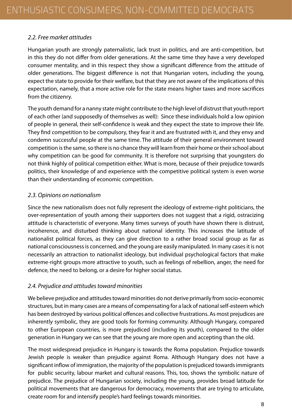# *2.2. Free market attitudes*

Hungarian youth are strongly paternalistic, lack trust in politics, and are anti-competition, but in this they do not differ from older generations. At the same time they have a very developed consumer mentality, and in this respect they show a significant difference from the attitude of older generations. The biggest difference is not that Hungarian voters, including the young, expect the state to provide for their welfare, but that they are not aware of the implications of this expectation, namely, that a more active role for the state means higher taxes and more sacrifices from the citizenry.

The youth demand for a nanny state might contribute to the high level of distrust that youth report of each other (and supposedly of themselves as well): Since these individuals hold a low opinion of people in general, their self-confidence is weak and they expect the state to improve their life. They find competition to be compulsory, they fear it and are frustrated with it, and they envy and condemn successful people at the same time. The attitude of their general environment toward competition is the same, so there is no chance they will learn from their home or their school about why competition can be good for community. It is therefore not surprising that youngsters do not think highly of political competition either. What is more, because of their prejudice towards politics, their knowledge of and experience with the competitive political system is even worse than their understanding of economic competition.

#### *2.3. Opinions on nationalism*

Since the new nationalism does not fully represent the ideology of extreme-right politicians, the over-representation of youth among their supporters does not suggest that a rigid, ostracizing attitude is characteristic of everyone. Many times surveys of youth have shown there is distrust, incoherence, and disturbed thinking about national identity. This increases the latitude of nationalist political forces, as they can give direction to a rather broad social group as far as national consciousness is concerned, and the young are easily manipulated. In many cases it is not necessarily an attraction to nationalist ideology, but individual psychological factors that make extreme-right groups more attractive to youth, such as feelings of rebellion, anger, the need for defence, the need to belong, or a desire for higher social status.

## *2.4. Prejudice and attitudes toward minorities*

We believe prejudice and attitudes toward minorities do not derive primarily from socio-economic structures, but in many cases are a means of compensating for a lack of national self-esteem which has been destroyed by various political offences and collective frustrations. As most prejudices are inherently symbolic, they are good tools for forming community. Although Hungary, compared to other European countries, is more prejudiced (including its youth), compared to the older generation in Hungary we can see that the young are more open and accepting than the old.

The most widespread prejudice in Hungary is towards the Roma population. Prejudice towards Jewish people is weaker than prejudice against Roma. Although Hungary does not have a significant inflow of immigration, the majority of the population is prejudiced towards immigrants for public security, labour market and cultural reasons. This, too, shows the symbolic nature of prejudice. The prejudice of Hungarian society, including the young, provides broad latitude for political movements that are dangerous for democracy, movements that are trying to articulate, create room for and intensify people's hard feelings towards minorities.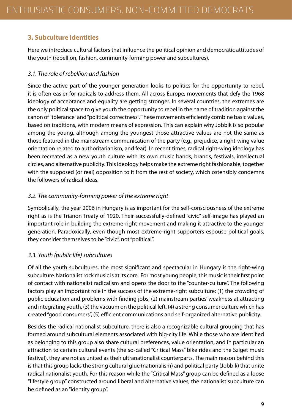# **3. Subculture identities**

Here we introduce cultural factors that influence the political opinion and democratic attitudes of the youth (rebellion, fashion, community-forming power and subcultures).

# *3.1. The role of rebellion and fashion*

Since the active part of the younger generation looks to politics for the opportunity to rebel, it is often easier for radicals to address them. All across Europe, movements that defy the 1968 ideology of acceptance and equality are getting stronger. In several countries, the extremes are the only political space to give youth the opportunity to rebel in the name of tradition against the canon of "tolerance" and "political correctness". These movements efficiently combine basic values, based on traditions, with modern means of expression. This can explain why Jobbik is so popular among the young, although among the youngest those attractive values are not the same as those featured in the mainstream communication of the party (e.g., prejudice, a right-wing value orientation related to authoritarianism, and fear). In recent times, radical right-wing ideology has been recreated as a new youth culture with its own music bands, brands, festivals, intellectual circles, and alternative publicity. This ideology helps make the extreme right fashionable, together with the supposed (or real) opposition to it from the rest of society, which ostensibly condemns the followers of radical ideas.

# *3.2. The community-forming power of the extreme right*

Symbolically, the year 2006 in Hungary is as important for the self-consciousness of the extreme right as is the Trianon Treaty of 1920. Their successfully-defined "civic" self-image has played an important role in building the extreme-right movement and making it attractive to the younger generation. Paradoxically, even though most extreme-right supporters espouse political goals, they consider themselves to be "civic", not "political".

# *3.3. Youth (public life) subcultures*

Of all the youth subcultures, the most significant and spectacular in Hungary is the right-wing subculture. Nationalist rock music is at its core. For most young people, this music is their first point of contact with nationalist radicalism and opens the door to the "counter-culture". The following factors play an important role in the success of the extreme-right subculture: (1) the crowding of public education and problems with finding jobs, (2) mainstream parties' weakness at attracting and integrating youth, (3) the vacuum on the political left, (4) a strong consumer culture which has created "good consumers", (5) efficient communications and self-organized alternative publicity.

Besides the radical nationalist subculture, there is also a recognizable cultural grouping that has formed around subcultural elements associated with big-city life. While those who are identified as belonging to this group also share cultural preferences, value orientation, and in particular an attraction to certain cultural events (the so-called "Critical Mass" bike rides and the Sziget music festival), they are not as united as their ultranationalist counterparts. The main reason behind this is that this group lacks the strong cultural glue (nationalism) and political party (Jobbik) that unite radical nationalist youth. For this reason while the "Critical Mass" group can be defined as a loose "lifestyle group" constructed around liberal and alternative values, the nationalist subculture can be defined as an "identity group".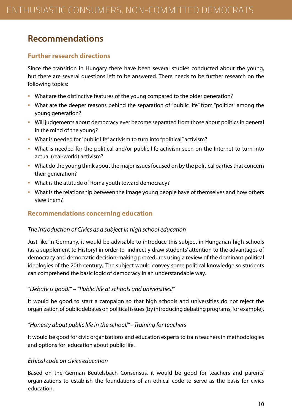# **Recommendations**

# **Further research directions**

Since the transition in Hungary there have been several studies conducted about the young, but there are several questions left to be answered. There needs to be further research on the following topics:

- What are the distinctive features of the young compared to the older generation?
- What are the deeper reasons behind the separation of "public life" from "politics" among the young generation?
- Will judgements about democracy ever become separated from those about politics in general in the mind of the young?
- What is needed for "public life" activism to turn into "political" activism?
- What is needed for the political and/or public life activism seen on the Internet to turn into actual (real-world) activism?
- What do the young think about the major issues focused on by the political parties that concern their generation?
- What is the attitude of Roma youth toward democracy?
- What is the relationship between the image young people have of themselves and how others view them?

# **Recommendations concerning education**

## *The introduction of Civics as a subject in high school education*

Just like in Germany, it would be advisable to introduce this subject in Hungarian high schools (as a supplement to History) in order to indirectly draw students' attention to the advantages of democracy and democratic decision-making procedures using a review of the dominant political ideologies of the 20th century,. The subject would convey some political knowledge so students can comprehend the basic logic of democracy in an understandable way.

## *"Debate is good!" – "Public life at schools and universities!"*

It would be good to start a campaign so that high schools and universities do not reject the organization of public debates on political issues (by introducing debating programs, for example).

## *"Honesty about public life in the school!" - Training for teachers*

It would be good for civic organizations and education experts to train teachers in methodologies and options for education about public life.

## *Ethical code on civics education*

Based on the German Beutelsbach Consensus, it would be good for teachers and parents' organizations to establish the foundations of an ethical code to serve as the basis for civics education.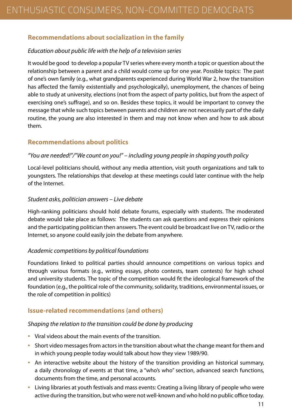# **Recommendations about socialization in the family**

## *Education about public life with the help of a television series*

It would be good to develop a popular TV series where every month a topic or question about the relationship between a parent and a child would come up for one year. Possible topics: The past of one's own family (e.g., what grandparents experienced during World War 2, how the transition has affected the family existentially and psychologically), unemployment, the chances of being able to study at university, elections (not from the aspect of party politics, but from the aspect of exercising one's suffrage), and so on. Besides these topics, it would be important to convey the message that while such topics between parents and children are not necessarily part of the daily routine, the young are also interested in them and may not know when and how to ask about them.

# **Recommendations about politics**

## *"You are needed!"/"We count on you!" – including young people in shaping youth policy*

Local-level politicians should, without any media attention, visit youth organizations and talk to youngsters. The relationships that develop at these meetings could later continue with the help of the Internet.

## *Student asks, politician answers – Live debate*

High-ranking politicians should hold debate forums, especially with students. The moderated debate would take place as follows: The students can ask questions and express their opinions and the participating politician then answers. The event could be broadcast live on TV, radio or the Internet, so anyone could easily join the debate from anywhere.

## *Academic competitions by political foundations*

Foundations linked to political parties should announce competitions on various topics and through various formats (e.g., writing essays, photo contests, team contests) for high school and university students. The topic of the competition would fit the ideological framework of the foundation (e.g., the political role of the community, solidarity, traditions, environmental issues, or the role of competition in politics)

# **Issue-related recommendations (and others)**

## *Shaping the relation to the transition could be done by producing*

- Viral videos about the main events of the transition.
- Short video messages from actors in the transition about what the change meant for them and in which young people today would talk about how they view 1989/90.
- An interactive website about the history of the transition providing an historical summary, a daily chronology of events at that time, a "who's who" section, advanced search functions, documents from the time, and personal accounts.
- Living libraries at youth festivals and mass events: Creating a living library of people who were active during the transition, but who were not well-known and who hold no public office today.